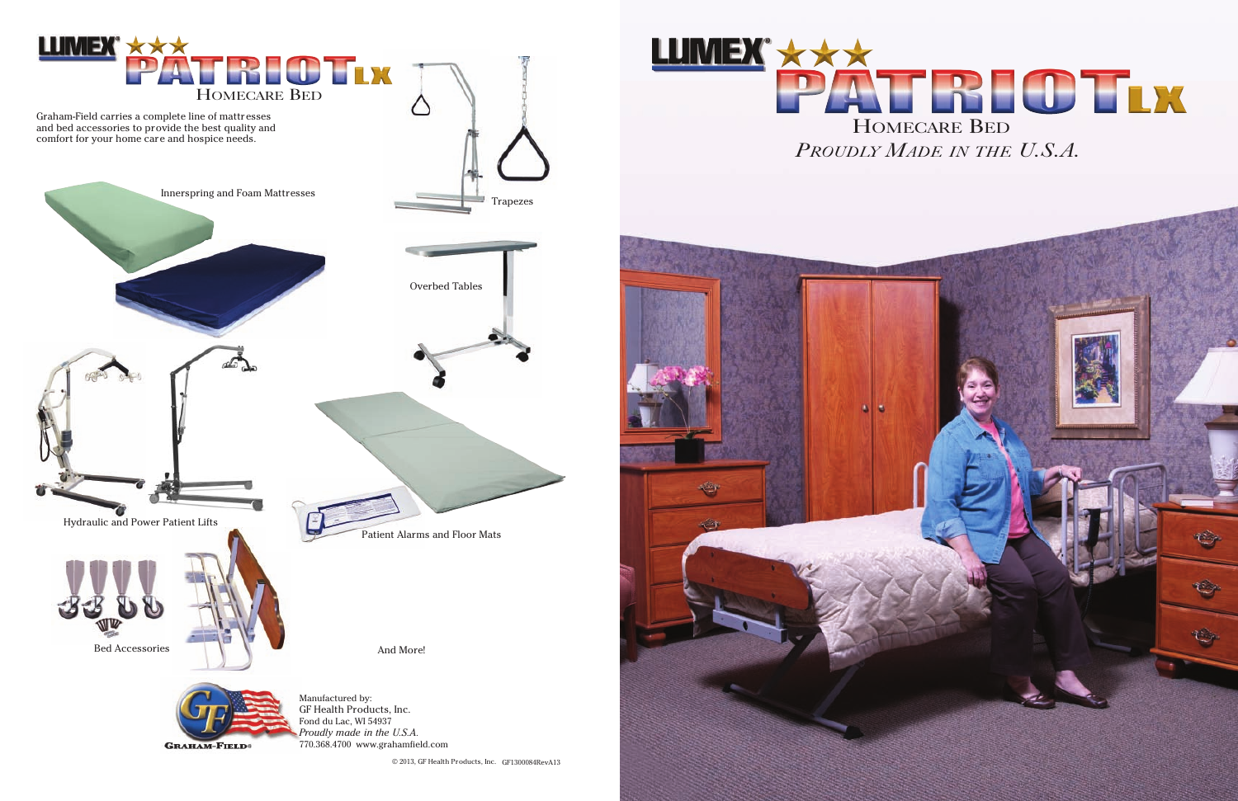© 2013, GF Health Products, Inc. GF1300084RevA13